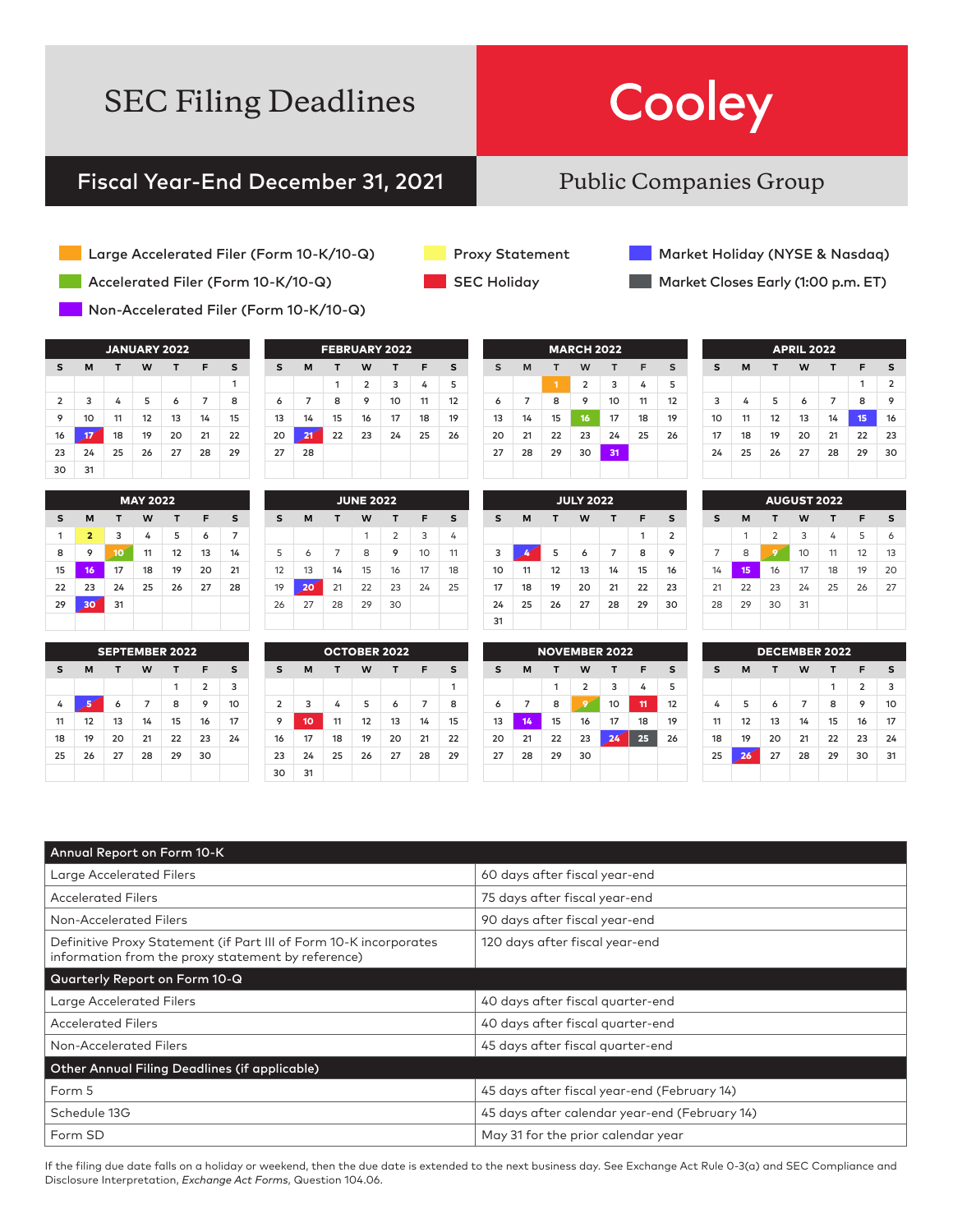# Cooley

### Fiscal Year-End December 31, 2021

### Public Companies Group

- Large Accelerated Filer (Form 10-K/10-Q)
- Accelerated Filer (Form 10-K/10-Q)
- Non-Accelerated Filer (Form 10-K/10-Q)

| <b>JANUARY 2022</b> |    |    |    |    |    |    |
|---------------------|----|----|----|----|----|----|
| s                   | M  | т  | W  | т  | F  | s  |
|                     |    |    |    |    |    | 1  |
| $\overline{2}$      | 3  | 4  | 5  | 6  | 7  | 8  |
| 9                   | 10 | 11 | 12 | 13 | 14 | 15 |
| 16                  | 17 | 18 | 19 | 20 | 21 | 22 |
| 23                  | 24 | 25 | 26 | 27 | 28 | 29 |
| 30                  | 31 |    |    |    |    |    |

|    |                |    | <b>MAY 2022</b> |    |    |    |
|----|----------------|----|-----------------|----|----|----|
| s  | M              | т  | W               | т  | F  | s  |
| 1  | $\overline{2}$ | 3  | 4               | 5  | 6  | 7  |
| 8  | 9              | 10 | 11              | 12 | 13 | 14 |
| 15 | 16             | 17 | 18              | 19 | 20 | 21 |
| 22 | 23             | 24 | 25              | 26 | 27 | 28 |
| 29 | 30             | 31 |                 |    |    |    |
|    |                |    |                 |    |    |    |

| <b>SEPTEMBER 2022</b> |    |    |    |    |                |    |  |  |  |
|-----------------------|----|----|----|----|----------------|----|--|--|--|
| s                     | М  | т  | W  | т  | F              | s  |  |  |  |
|                       |    |    |    | 1  | $\overline{2}$ | 3  |  |  |  |
| 4                     |    | 6  | 7  | 8  | 9              | 10 |  |  |  |
| 11                    | 12 | 13 | 14 | 15 | 16             | 17 |  |  |  |
| 18                    | 19 | 20 | 21 | 22 | 23             | 24 |  |  |  |
| 25                    | 26 | 27 | 28 | 29 | 30             |    |  |  |  |
|                       |    |    |    |    |                |    |  |  |  |

| <b>FEBRUARY 2022</b> |    |    |                |    |    |    |  |
|----------------------|----|----|----------------|----|----|----|--|
| s                    | M  | т  | W              | т  | F  | s  |  |
|                      |    | 1  | $\overline{2}$ | 3  | 4  | 5  |  |
| 6                    | 7  | 8  | 9              | 10 | 11 | 12 |  |
| 13                   | 14 | 15 | 16             | 17 | 18 | 19 |  |
| 20                   | 21 | 22 | 23             | 24 | 25 | 26 |  |
| 27                   | 28 |    |                |    |    |    |  |
|                      |    |    |                |    |    |    |  |

| <b>JUNE 2022</b> |                            |    |    |                |    |    |  |  |  |
|------------------|----------------------------|----|----|----------------|----|----|--|--|--|
| s                | M<br>W<br>F<br>s<br>т<br>т |    |    |                |    |    |  |  |  |
|                  |                            |    | 1  | $\overline{2}$ | 3  | 4  |  |  |  |
| 5                | 6                          | 7  | 8  | 9              | 10 | 11 |  |  |  |
| 12               | 13                         | 14 | 15 | 16             | 17 | 18 |  |  |  |
| 19               | 20                         | 21 | 22 | 23             | 24 | 25 |  |  |  |
| 26               | 27                         | 28 | 29 | 30             |    |    |  |  |  |
|                  |                            |    |    |                |    |    |  |  |  |

OCTOBER 2022 **S M T W T F S**

 3 4 5 6 7 8 **10** 11 12 13 14 15 17 18 19 20 21 22 24 25 26 27 28 29

30 31

|  | <b>Proxy Statement</b> |
|--|------------------------|
|  |                        |

SEC Holiday

Market Holiday (NYSE & Nasdaq)

Market Closes Early (1:00 p.m. ET)

| <b>MARCH 2022</b> |    |    |                |    |    |    |
|-------------------|----|----|----------------|----|----|----|
| s                 | M  | т  | W              | т  | F  | S  |
|                   |    | 1  | $\overline{2}$ | 3  | 4  | 5  |
| 6                 | 7  | 8  | 9              | 10 | 11 | 12 |
| 13                | 14 | 15 | 16             | 17 | 18 | 19 |
| 20                | 21 | 22 | 23             | 24 | 25 | 26 |
| 27                | 28 | 29 | 30             | 31 |    |    |
|                   |    |    |                |    |    |    |

|                                 | <b>JULY 2022</b> |    |    |    |    |                |  |  |  |
|---------------------------------|------------------|----|----|----|----|----------------|--|--|--|
| s<br>т<br>т<br>M<br>W<br>F<br>s |                  |    |    |    |    |                |  |  |  |
|                                 |                  |    |    |    | 1  | $\overline{2}$ |  |  |  |
| 3                               |                  | 5  | 6  | 7  | 8  | 9              |  |  |  |
| 10                              | 11               | 12 | 13 | 14 | 15 | 16             |  |  |  |
| 17                              | 18               | 19 | 20 | 21 | 22 | 23             |  |  |  |
| 24                              | 25               | 26 | 27 | 28 | 29 | 30             |  |  |  |
| 31                              |                  |    |    |    |    |                |  |  |  |

| s  | M  | т  | W  | T              | F  | s              |
|----|----|----|----|----------------|----|----------------|
|    |    |    |    |                | 1  | $\overline{2}$ |
| 3  | 4  | 5  | 6  | $\overline{7}$ | 8  | 9              |
| 10 | 11 | 12 | 13 | 14             | 15 | 16             |
| 17 | 18 | 19 | 20 | 21             | 22 | 23             |
| 24 | 25 | 26 | 27 | 28             | 29 | 30             |
|    |    |    |    |                |    |                |
|    |    |    |    |                |    |                |

APRIL 2022

| S                    | M  | т  | W                        | т                        | F  | S              |  |  |
|----------------------|----|----|--------------------------|--------------------------|----|----------------|--|--|
|                      |    |    |                          |                          | 1  | $\overline{2}$ |  |  |
| 3                    |    | 5  | 6                        | 7                        | 8  | 9              |  |  |
| 10                   | 11 | 12 | 13                       | 14                       | 15 | 16             |  |  |
| 17                   | 18 | 19 | 20                       | 21                       | 22 | 23             |  |  |
| 24                   | 25 | 26 | 27                       | 28                       | 29 | 30             |  |  |
| 31                   |    |    |                          |                          |    |                |  |  |
|                      |    |    |                          |                          |    |                |  |  |
| <b>NOVEMBER 2022</b> |    |    |                          |                          |    |                |  |  |
| S                    | M  |    | W                        | т                        | F  | s              |  |  |
|                      |    |    | $\overline{\phantom{0}}$ | $\overline{\phantom{0}}$ |    | -              |  |  |

| <b>AUGUST 2022</b> |    |    |    |    |    |    |  |
|--------------------|----|----|----|----|----|----|--|
| s                  | M  | т  | W  | т  | F  | s  |  |
|                    | 1  | 2  | 3  | 4  | 5  | 6  |  |
| 7                  | 8  | 9  | 10 | 11 | 12 | 13 |  |
| 14                 | 15 | 16 | 17 | 18 | 19 | 20 |  |
| 21                 | 22 | 23 | 24 | 25 | 26 | 27 |  |
| 28                 | 29 | 30 | 31 |    |    |    |  |
|                    |    |    |    |    |    |    |  |
|                    |    |    |    |    |    |    |  |

| <b>NOVEMBER 2022</b> |                       |    |                |    |    |    |  |  |
|----------------------|-----------------------|----|----------------|----|----|----|--|--|
| s                    | M<br>W<br>т<br>F<br>т |    |                |    |    |    |  |  |
|                      |                       | 1  | $\overline{2}$ | 3  | 4  | 5  |  |  |
| 6                    | 7                     | 8  |                | 10 | 11 | 12 |  |  |
| 13                   | 14                    | 15 | 16             | 17 | 18 | 19 |  |  |
| 20                   | 21                    | 22 | 23             | 24 | 25 | 26 |  |  |
| 27                   | 28                    | 29 | 30             |    |    |    |  |  |
|                      |                       |    |                |    |    |    |  |  |

|    |    |    | <b>DECEMBER 2022</b> |    |                |    |
|----|----|----|----------------------|----|----------------|----|
| s  | M  | т  | W                    | т  | F              | s  |
|    |    |    |                      | 1  | $\overline{2}$ | 3  |
| 4  | 5  | 6  | 7                    | 8  | 9              | 10 |
| 11 | 12 | 13 | 14                   | 15 | 16             | 17 |
| 18 | 19 | 20 | 21                   | 22 | 23             | 24 |
| 25 | 26 | 27 | 28                   | 29 | 30             | 31 |
|    |    |    |                      |    |                |    |

| Annual Report on Form 10-K                                                                                              |                                               |
|-------------------------------------------------------------------------------------------------------------------------|-----------------------------------------------|
| Large Accelerated Filers                                                                                                | 60 days after fiscal year-end                 |
| <b>Accelerated Filers</b>                                                                                               | 75 days after fiscal year-end                 |
| Non-Accelerated Filers                                                                                                  | 90 days after fiscal year-end                 |
| Definitive Proxy Statement (if Part III of Form 10-K incorporates<br>information from the proxy statement by reference) | 120 days after fiscal year-end                |
| Quarterly Report on Form 10-Q                                                                                           |                                               |
| <b>Large Accelerated Filers</b>                                                                                         | 40 days after fiscal quarter-end              |
| <b>Accelerated Filers</b>                                                                                               | 40 days after fiscal quarter-end              |
| Non-Accelerated Filers                                                                                                  | 45 days after fiscal quarter-end              |
| Other Annual Filing Deadlines (if applicable)                                                                           |                                               |
| Form 5                                                                                                                  | 45 days after fiscal year-end (February 14)   |
| Schedule 13G                                                                                                            | 45 days after calendar year-end (February 14) |
| Form SD                                                                                                                 | May 31 for the prior calendar year            |

1

If the filing due date falls on a holiday or weekend, then the due date is extended to the next business day. See Exchange Act Rule 0-3(a) and SEC Compliance and Disclosure Interpretation, *Exchange Act Forms*, Question 104.06.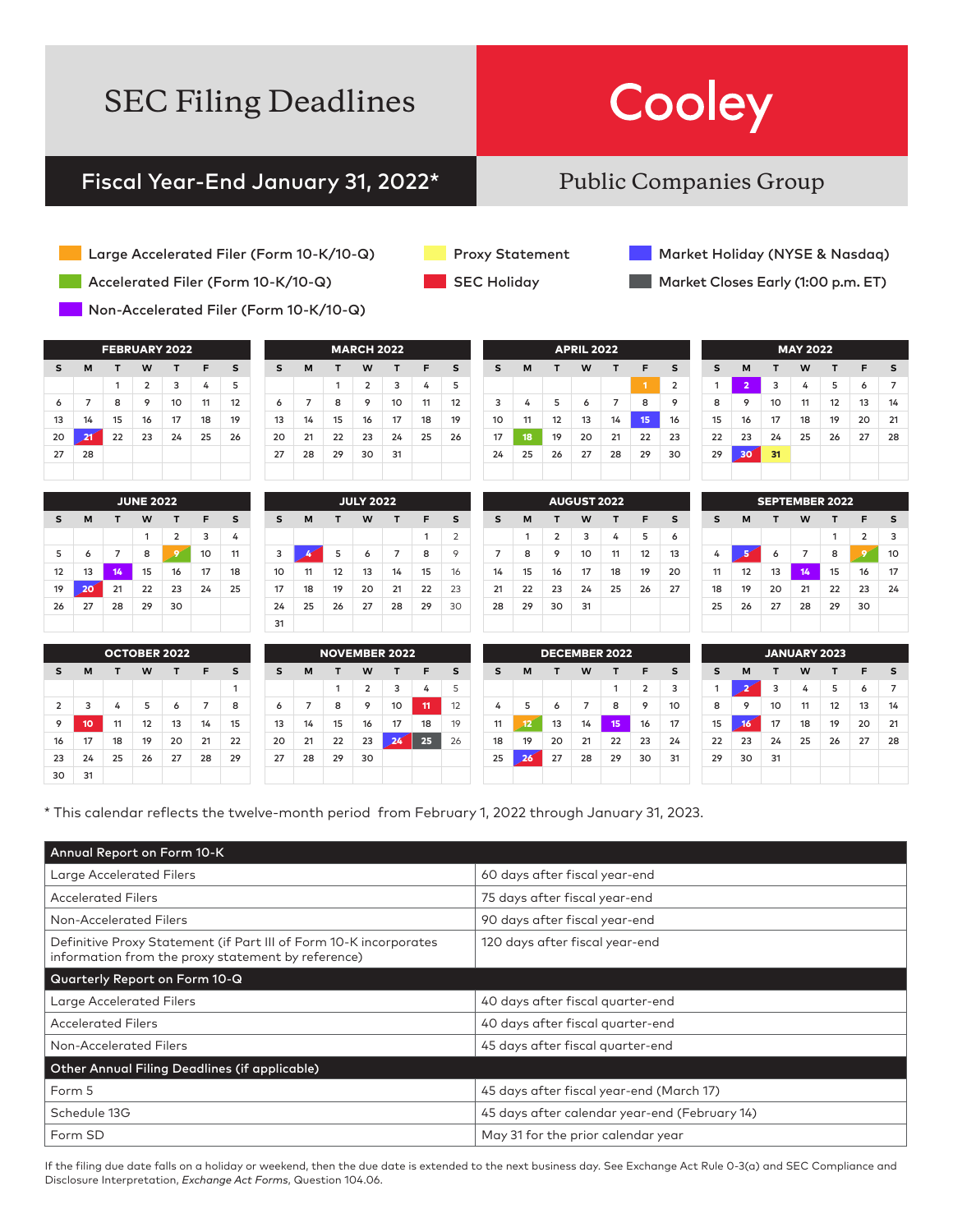# Cooley

### Fiscal Year-End January 31, 2022\*

### Public Companies Group

- Large Accelerated Filer (Form 10-K/10-Q)
- Accelerated Filer (Form 10-K/10-Q)
- Non-Accelerated Filer (Form 10-K/10-Q)

| <b>FEBRUARY 2022</b>            |    |    |                |    |    |    |  |  |
|---------------------------------|----|----|----------------|----|----|----|--|--|
| s<br>M<br>W<br>s<br>т<br>F<br>т |    |    |                |    |    |    |  |  |
|                                 |    | 1  | $\overline{2}$ | 3  | 4  | 5  |  |  |
| 6                               | 7  | 8  | 9              | 10 | 11 | 12 |  |  |
| 13                              | 14 | 15 | 16             | 17 | 18 | 19 |  |  |
| 20                              | 21 | 22 | 23             | 24 | 25 | 26 |  |  |
| 27                              | 28 |    |                |    |    |    |  |  |
|                                 |    |    |                |    |    |    |  |  |

|    |    |    | <b>JUNE 2022</b> |                |    |    |
|----|----|----|------------------|----------------|----|----|
| s  | M  | т  | W                | т              | F  | s  |
|    |    |    | 1                | $\overline{2}$ | 3  | 4  |
| 5  | 6  | 7  | 8                | c              | 10 | 11 |
| 12 | 13 | 14 | 15               | 16             | 17 | 18 |
| 19 | 20 | 21 | 22               | 23             | 24 | 25 |
| 26 | 27 | 28 | 29               | 30             |    |    |
|    |    |    |                  |                |    |    |

| <b>MARCH 2022</b> |    |    |                |    |    |    |  |  |
|-------------------|----|----|----------------|----|----|----|--|--|
| s                 | M  | т  | W              | т  | F  | s  |  |  |
|                   |    | 1  | $\overline{2}$ | 3  | 4  | 5  |  |  |
| 6                 | 7  | 8  | 9              | 10 | 11 | 12 |  |  |
| 13                | 14 | 15 | 16             | 17 | 18 | 19 |  |  |
| 20                | 21 | 22 | 23             | 24 | 25 | 26 |  |  |
| 27                | 28 | 29 | 30             | 31 |    |    |  |  |
|                   |    |    |                |    |    |    |  |  |

|                                 | <b>JULY 2022</b> |    |    |    |    |                |  |  |  |
|---------------------------------|------------------|----|----|----|----|----------------|--|--|--|
| s<br>M<br>W<br>F<br>s<br>т<br>т |                  |    |    |    |    |                |  |  |  |
|                                 |                  |    |    |    | 1  | $\overline{2}$ |  |  |  |
| 3                               |                  | 5  | 6  | 7  | 8  | 9              |  |  |  |
| 10                              | 11               | 12 | 13 | 14 | 15 | 16             |  |  |  |
| 17                              | 18               | 19 | 20 | 21 | 22 | 23             |  |  |  |
| 24                              | 25               | 26 | 27 | 28 | 29 | 30             |  |  |  |
| 31                              |                  |    |    |    |    |                |  |  |  |

|    |    |    | <b>APRIL 2022</b> |    |    |                |
|----|----|----|-------------------|----|----|----------------|
| s  | M  | т  | W                 | т  | F  | s              |
|    |    |    |                   |    | 1  | $\overline{2}$ |
| 3  | 4  | 5  | 6                 | 7  | 8  | 9              |
| 10 | 11 | 12 | 13                | 14 | 15 | 16             |
| 17 | 18 | 19 | 20                | 21 | 22 | 23             |
| 24 | 25 | 26 | 27                | 28 | 29 | 30             |
|    |    |    |                   |    |    |                |

|    |    |                | <b>AUGUST 2022</b> |    |    |    |
|----|----|----------------|--------------------|----|----|----|
| s  | M  | т              | W                  | т  | F  | s  |
|    | 1  | $\overline{2}$ | 3                  | 4  | 5  | 6  |
| 7  | 8  | 9              | 10                 | 11 | 12 | 13 |
| 14 | 15 | 16             | 17                 | 18 | 19 | 20 |
| 21 | 22 | 23             | 24                 | 25 | 26 | 27 |
| 28 | 29 | 30             | 31                 |    |    |    |
|    |    |                |                    |    |    |    |

| <b>MAY 2022</b> |                |    |    |    |    |    |  |
|-----------------|----------------|----|----|----|----|----|--|
| s               | M              | т  | W  | т  | F  | s  |  |
| 1               | $\overline{a}$ | 3  | 4  | 5  | 6  | 7  |  |
| 8               | 9              | 10 | 11 | 12 | 13 | 14 |  |
| 15              | 16             | 17 | 18 | 19 | 20 | 21 |  |
| 22              | 23             | 24 | 25 | 26 | 27 | 28 |  |
| 29              | 30             | 31 |    |    |    |    |  |
|                 |                |    |    |    |    |    |  |

Market Holiday (NYSE & Nasdaq) Market Closes Early (1:00 p.m. ET)

|    |    | <b>SEPTEMBER 2022</b> |    |    |                |    |
|----|----|-----------------------|----|----|----------------|----|
| S  | M  | т                     | W  | т  | F              | s  |
|    |    |                       |    | 1  | $\overline{2}$ | 3  |
| 4  |    | 6                     | 7  | 8  | g              | 10 |
| 11 | 12 | 13                    | 14 | 15 | 16             | 17 |
| 18 | 19 | 20                    | 21 | 22 | 23             | 24 |
| 25 | 26 | 27                    | 28 | 29 | 30             |    |
|    |    |                       |    |    |                |    |

| <b>OCTOBER 2022</b> |                |    |    |    |    |    |    |
|---------------------|----------------|----|----|----|----|----|----|
|                     | s              | M  | т  | W  | т  | F  | s  |
|                     |                |    |    |    |    |    | 1  |
|                     | $\overline{2}$ | 3  | 4  | 5  | 6  | 7  | 8  |
|                     | 9              | 10 | 11 | 12 | 13 | 14 | 15 |
|                     | 16             | 17 | 18 | 19 | 20 | 21 | 22 |
|                     | 23             | 24 | 25 | 26 | 27 | 28 | 29 |
|                     | 30             | 31 |    |    |    |    |    |

|    |    |    |                | <b>NOVEMBER 2022</b> |    |    |
|----|----|----|----------------|----------------------|----|----|
| s  | M  | т  | W              | т                    | F  | S  |
|    |    | 1  | $\overline{2}$ | 3                    | 4  | 5  |
| 6  | 7  | 8  | 9              | 10                   | 11 | 12 |
| 13 | 14 | 15 | 16             | 17                   | 18 | 19 |
| 20 | 21 | 22 | 23             | 24                   | 25 | 26 |
| 27 | 28 | 29 | 30             |                      |    |    |
|    |    |    |                |                      |    |    |

|    |    | <b>DECEMBER 2022</b> |    |    |                |    |
|----|----|----------------------|----|----|----------------|----|
| s  | M  | т                    | W  | т  | F              | s  |
|    |    |                      |    | 1  | $\overline{2}$ | 3  |
| 4  | 5  | 6                    | 7  | 8  | 9              | 10 |
| 11 | 12 | 13                   | 14 | 15 | 16             | 17 |
| 18 | 19 | 20                   | 21 | 22 | 23             | 24 |
| 25 | 26 | 27                   | 28 | 29 | 30             | 31 |
|    |    |                      |    |    |                |    |

| <b>JANUARY 2023</b> |    |    |    |    |    |    |  |  |  |
|---------------------|----|----|----|----|----|----|--|--|--|
| s                   | M  | т  | W  | т  | F  | s  |  |  |  |
| 1                   | 2  | 3  | 4  | 5  | 6  | 7  |  |  |  |
| 8                   | 9  | 10 | 11 | 12 | 13 | 14 |  |  |  |
| 15                  | 16 | 17 | 18 | 19 | 20 | 21 |  |  |  |
| 22                  | 23 | 24 | 25 | 26 | 27 | 28 |  |  |  |
| 29                  | 30 | 31 |    |    |    |    |  |  |  |
|                     |    |    |    |    |    |    |  |  |  |

\* This calendar reflects the twelve-month period from February 1, 2022 through January 31, 2023.

| Annual Report on Form 10-K                                                                                              |                                               |
|-------------------------------------------------------------------------------------------------------------------------|-----------------------------------------------|
| Large Accelerated Filers                                                                                                | 60 days after fiscal year-end                 |
| <b>Accelerated Filers</b>                                                                                               | 75 days after fiscal year-end                 |
| Non-Accelerated Filers                                                                                                  | 90 days after fiscal year-end                 |
| Definitive Proxy Statement (if Part III of Form 10-K incorporates<br>information from the proxy statement by reference) | 120 days after fiscal year-end                |
| Quarterly Report on Form 10-Q                                                                                           |                                               |
| Large Accelerated Filers                                                                                                | 40 days after fiscal quarter-end              |
| <b>Accelerated Filers</b>                                                                                               | 40 days after fiscal quarter-end              |
| Non-Accelerated Filers                                                                                                  | 45 days after fiscal quarter-end              |
| Other Annual Filing Deadlines (if applicable)                                                                           |                                               |
| Form 5                                                                                                                  | 45 days after fiscal year-end (March 17)      |
| Schedule 13G                                                                                                            | 45 days after calendar year-end (February 14) |
| Form SD                                                                                                                 | May 31 for the prior calendar year            |

If the filing due date falls on a holiday or weekend, then the due date is extended to the next business day. See Exchange Act Rule 0-3(a) and SEC Compliance and Disclosure Interpretation, *Exchange Act Forms*, Question 104.06.

Proxy Statement

**SEC Holiday**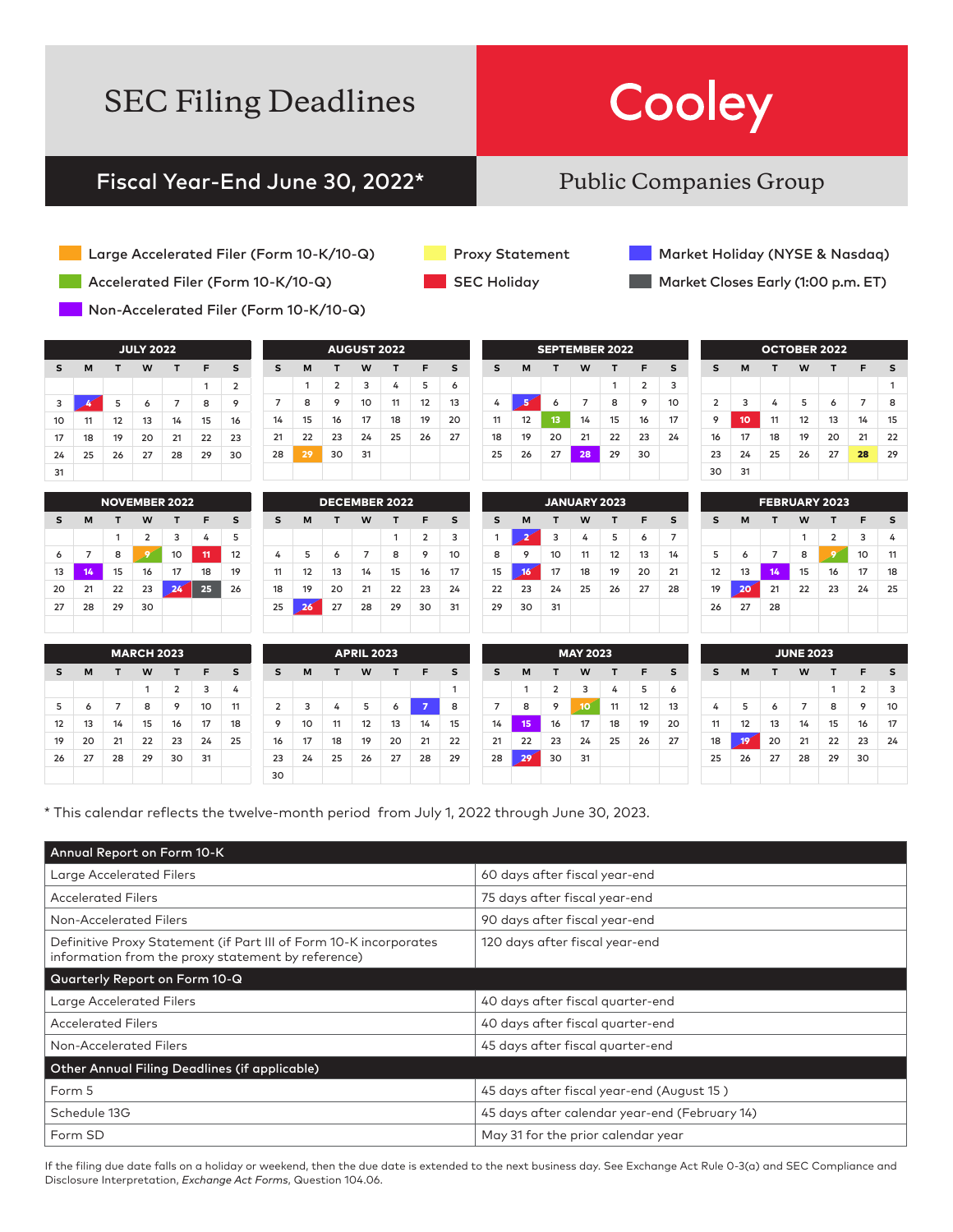## Cooley

### Fiscal Year-End June 30, 2022\*

### Public Companies Group

- Large Accelerated Filer (Form 10-K/10-Q)
- Accelerated Filer (Form 10-K/10-Q)
- Non-Accelerated Filer (Form 10-K/10-Q)

| <b>JULY 2022</b> |    |    |    |    |    |                |  |  |  |
|------------------|----|----|----|----|----|----------------|--|--|--|
| s                | М  | F  | s  |    |    |                |  |  |  |
|                  |    |    |    |    | 1  | $\overline{2}$ |  |  |  |
| 3                |    | 5  | 6  | 7  | 8  | 9              |  |  |  |
| 10               | 11 | 12 | 13 | 14 | 15 | 16             |  |  |  |
| 17               | 18 | 19 | 20 | 21 | 22 | 23             |  |  |  |
| 24               | 25 | 26 | 27 | 28 | 29 | 30             |  |  |  |
| 31               |    |    |    |    |    |                |  |  |  |

|    |    |    |                | <b>NOVEMBER 2022</b> |    |    |
|----|----|----|----------------|----------------------|----|----|
| s  | M  | т  | W              | т                    | F  | s  |
|    |    | 1  | $\overline{2}$ | 3                    | 4  | 5  |
| 6  | 7  | 8  | g              | 10                   | 11 | 12 |
| 13 | 14 | 15 | 16             | 17                   | 18 | 19 |
| 20 | 21 | 22 | 23             | 24                   | 25 | 26 |
| 27 | 28 | 29 | 30             |                      |    |    |
|    |    |    |                |                      |    |    |

| AVVVJ LVII     |    |                |    |    |    |    |  |  |
|----------------|----|----------------|----|----|----|----|--|--|
| S              | F  | s              |    |    |    |    |  |  |
|                | 1  | $\overline{2}$ | 3  | 4  | 5  | 6  |  |  |
| $\overline{7}$ | 8  | 9              | 10 | 11 | 12 | 13 |  |  |
| 14             | 15 | 16             | 17 | 18 | 19 | 20 |  |  |
| 21             | 22 | 23             | 24 | 25 | 26 | 27 |  |  |
| 28             | 29 | 30             | 31 |    |    |    |  |  |
|                |    |                |    |    |    |    |  |  |

ME DE 202

| <b>DECEMBER 2022</b>            |    |    |    |                |    |  |  |  |  |
|---------------------------------|----|----|----|----------------|----|--|--|--|--|
| s<br>W<br>s<br>M<br>F<br>т<br>т |    |    |    |                |    |  |  |  |  |
|                                 |    |    | 1  | $\overline{2}$ | 3  |  |  |  |  |
| 5                               | 6  | 7  | 8  | 9              | 10 |  |  |  |  |
| 12                              | 13 | 14 | 15 | 16             | 17 |  |  |  |  |
| 19                              | 20 | 21 | 22 | 23             | 24 |  |  |  |  |
| 26                              | 27 | 28 | 29 | 30             | 31 |  |  |  |  |
|                                 |    |    |    |                |    |  |  |  |  |

|    |    | <b>SEPTEMBER 2022</b> |    |    |                |    |
|----|----|-----------------------|----|----|----------------|----|
| s  | M  | т                     | W  | т  | F              | s  |
|    |    |                       |    | 1  | $\overline{2}$ | 3  |
| 4  |    | 6                     | 7  | 8  | 9              | 10 |
| 11 | 12 | 13                    | 14 | 15 | 16             | 17 |
| 18 | 19 | 20                    | 21 | 22 | 23             | 24 |
| 25 | 26 | 27                    | 28 | 29 | 30             |    |
|    |    |                       |    |    |                |    |

|    |    |    | <b>JANUARY 2023</b> |    |    |                |
|----|----|----|---------------------|----|----|----------------|
| s  | M  | т  | W                   | т  | F  | s              |
| 1  |    | 3  | 4                   | 5  | 6  | $\overline{7}$ |
| 8  | 9  | 10 | 11                  | 12 | 13 | 14             |
| 15 | 16 | 17 | 18                  | 19 | 20 | 21             |
| 22 | 23 | 24 | 25                  | 26 | 27 | 28             |
| 29 | 30 | 31 |                     |    |    |                |
|    |    |    |                     |    |    |                |

|                |    |    | <b>OCTOBER 2022</b> |    |    |    |
|----------------|----|----|---------------------|----|----|----|
| s              | M  | т  | W                   | т  | F  | s  |
|                |    |    |                     |    |    | 1  |
| $\overline{2}$ | 3  | 4  | 5                   | 6  | 7  | 8  |
| 9              | 10 | 11 | 12                  | 13 | 14 | 15 |
| 16             | 17 | 18 | 19                  | 20 | 21 | 22 |
| 23             | 24 | 25 | 26                  | 27 | 28 | 29 |
| 30             | 31 |    |                     |    |    |    |

|    |    |    | <b>FEBRUARY 2023</b> |                |    |    |
|----|----|----|----------------------|----------------|----|----|
| s  | M  | т  | W                    | т              | F  | s  |
|    |    |    | 1                    | $\overline{2}$ | 3  | 4  |
| 5  | 6  | 7  | 8                    | 9              | 10 | 11 |
| 12 | 13 | 14 | 15                   | 16             | 17 | 18 |
| 19 | 20 | 21 | 22                   | 23             | 24 | 25 |
| 26 | 27 | 28 |                      |                |    |    |
|    |    |    |                      |                |    |    |

| <b>MARCH 2023</b>          |    |    |    |                |    |    |  |  |
|----------------------------|----|----|----|----------------|----|----|--|--|
| S<br>M<br>W<br>F<br>т<br>т |    |    |    |                |    |    |  |  |
|                            |    |    | 1  | $\overline{2}$ | 3  | 4  |  |  |
| 5                          | 6  | 7  | 8  | 9              | 10 | 11 |  |  |
| 12                         | 13 | 14 | 15 | 16             | 17 | 18 |  |  |
| 19                         | 20 | 21 | 22 | 23             | 24 | 25 |  |  |
| 26                         | 27 | 28 | 29 | 30             | 31 |    |  |  |
|                            |    |    |    |                |    |    |  |  |

|    | <b>APRIL 2023</b> |    |    |    |    |    |    |  |  |  |
|----|-------------------|----|----|----|----|----|----|--|--|--|
| 5  | S                 | M  | Т  | W  | Т  | F  | s  |  |  |  |
| í. |                   |    |    |    |    |    | 1  |  |  |  |
| 1  | $\overline{2}$    | 3  | 4  | 5  | 6  | 7  | 8  |  |  |  |
| 8  | 9                 | 10 | 11 | 12 | 13 | 14 | 15 |  |  |  |
| 5  | 16                | 17 | 18 | 19 | 20 | 21 | 22 |  |  |  |
|    | 23                | 24 | 25 | 26 | 27 | 28 | 29 |  |  |  |
|    | 30                |    |    |    |    |    |    |  |  |  |

| S  | M  | т              | W  | т  | F  | s  | s  |
|----|----|----------------|----|----|----|----|----|
|    | 1  | $\overline{2}$ | 3  | 4  | 5  | 6  |    |
| 7  | 8  | 9              | 10 | 11 | 12 | 13 | 4  |
| 14 | 15 | 16             | 17 | 18 | 19 | 20 | 11 |
| 21 | 22 | 23             | 24 | 25 | 26 | 27 | 18 |
| 28 | 29 | 30             | 31 |    |    |    | 25 |
|    |    |                |    |    |    |    |    |

| <b>JUNE 2023</b> |    |    |    |    |                |    |  |  |
|------------------|----|----|----|----|----------------|----|--|--|
| s                | M  | т  | W  | т  | F              | s  |  |  |
|                  |    |    |    | 1  | $\overline{2}$ | 3  |  |  |
| 4                | 5  | 6  | 7  | 8  | 9              | 10 |  |  |
| 11               | 12 | 13 | 14 | 15 | 16             | 17 |  |  |
| 18               | 19 | 20 | 21 | 22 | 23             | 24 |  |  |
| 25               | 26 | 27 | 28 | 29 | 30             |    |  |  |
|                  |    |    |    |    |                |    |  |  |

\* This calendar reflects the twelve-month period from July 1, 2022 through June 30, 2023.

| Annual Report on Form 10-K                                                                                              |                                               |
|-------------------------------------------------------------------------------------------------------------------------|-----------------------------------------------|
| <b>Large Accelerated Filers</b>                                                                                         | 60 days after fiscal year-end                 |
| <b>Accelerated Filers</b>                                                                                               | 75 days after fiscal year-end                 |
| Non-Accelerated Filers                                                                                                  | 90 days after fiscal year-end                 |
| Definitive Proxy Statement (if Part III of Form 10-K incorporates<br>information from the proxy statement by reference) | 120 days after fiscal year-end                |
| Quarterly Report on Form 10-Q                                                                                           |                                               |
| Large Accelerated Filers                                                                                                | 40 days after fiscal quarter-end              |
| <b>Accelerated Filers</b>                                                                                               | 40 days after fiscal quarter-end              |
| Non-Accelerated Filers                                                                                                  | 45 days after fiscal quarter-end              |
| Other Annual Filing Deadlines (if applicable)                                                                           |                                               |
| Form 5                                                                                                                  | 45 days after fiscal year-end (August 15)     |
| Schedule 13G                                                                                                            | 45 days after calendar year-end (February 14) |
| Form SD                                                                                                                 | May 31 for the prior calendar year            |

If the filing due date falls on a holiday or weekend, then the due date is extended to the next business day. See Exchange Act Rule 0-3(a) and SEC Compliance and Disclosure Interpretation, *Exchange Act Forms*, Question 104.06.

Proxy Statement

SEC Holiday

Market Holiday (NYSE & Nasdaq)

Market Closes Early (1:00 p.m. ET)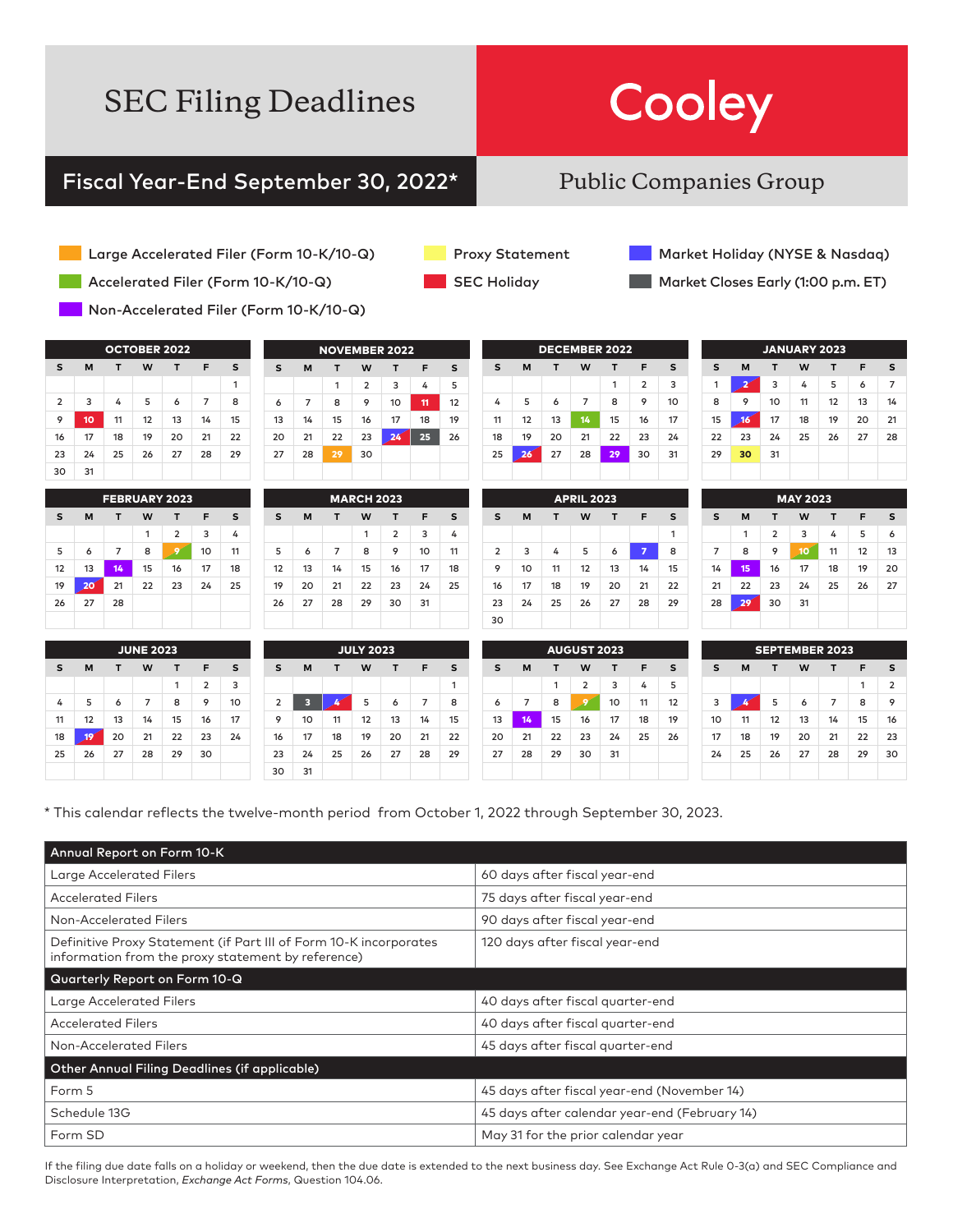# Cooley

### Fiscal Year-End September 30, 2022\*

### Public Companies Group

- Large Accelerated Filer (Form 10-K/10-Q)
- Accelerated Filer (Form 10-K/10-Q)
- Non-Accelerated Filer (Form 10-K/10-Q)

| <b>OCTOBER 2022</b> |                            |    |    |    |    |    |  |  |  |
|---------------------|----------------------------|----|----|----|----|----|--|--|--|
| s                   | M<br>т<br>F<br>s<br>W<br>т |    |    |    |    |    |  |  |  |
|                     |                            |    |    |    |    | 1  |  |  |  |
| $\overline{2}$      | 3                          | 4  | 5  | 6  | 7  | 8  |  |  |  |
| 9                   | 10 <sub>o</sub>            | 11 | 12 | 13 | 14 | 15 |  |  |  |
| 16                  | 17                         | 18 | 19 | 20 | 21 | 22 |  |  |  |
| 23                  | 24                         | 25 | 26 | 27 | 28 | 29 |  |  |  |
| 30                  | 31                         |    |    |    |    |    |  |  |  |

| <b>FEBRUARY 2023</b> |    |    |    |                |    |    |  |  |
|----------------------|----|----|----|----------------|----|----|--|--|
| s                    | M  | т  | W  | т              | F  | s  |  |  |
|                      |    |    | 1  | $\overline{2}$ | 3  | 4  |  |  |
| 5                    | 6  | 7  | 8  | c              | 10 | 11 |  |  |
| 12                   | 13 | 14 | 15 | 16             | 17 | 18 |  |  |
| 19                   | 20 | 21 | 22 | 23             | 24 | 25 |  |  |
| 26                   | 27 | 28 |    |                |    |    |  |  |
|                      |    |    |    |                |    |    |  |  |

| s  | M  | т  | W              | т               | F  | s  |  |  |  |
|----|----|----|----------------|-----------------|----|----|--|--|--|
|    |    | 1  | $\overline{2}$ | 3               | 4  | 5  |  |  |  |
| 6  | 7  | 8  | 9              | 10              | 11 | 12 |  |  |  |
| 13 | 14 | 15 | 16             | 17              | 18 | 19 |  |  |  |
| 20 | 21 | 22 | 23             | 24 <sup>°</sup> | 25 | 26 |  |  |  |
| 27 | 28 | 29 | 30             |                 |    |    |  |  |  |
|    |    |    |                |                 |    |    |  |  |  |

NOVEMBER 2022

| <b>MARCH 2023</b> |                       |    |    |                |    |    |  |  |
|-------------------|-----------------------|----|----|----------------|----|----|--|--|
| s                 | M<br>W<br>F<br>т<br>т |    |    |                |    |    |  |  |
|                   |                       |    | 1  | $\overline{2}$ | 3  | 4  |  |  |
| 5                 | 6                     | 7  | 8  | 9              | 10 | 11 |  |  |
| 12                | 13                    | 14 | 15 | 16             | 17 | 18 |  |  |
| 19                | 20                    | 21 | 22 | 23             | 24 | 25 |  |  |
| 26                | 27                    | 28 | 29 | 30             | 31 |    |  |  |
|                   |                       |    |    |                |    |    |  |  |

| <b>SEC Holiday</b> |  |
|--------------------|--|

Proxy Statement

Market Holiday (NYSE & Nasdaq)

Market Closes Early (1:00 p.m. ET)

| <b>DECEMBER 2022</b> |    |    |    |    |                |                |  |  |
|----------------------|----|----|----|----|----------------|----------------|--|--|
| s                    | M  | т  | W  | т  | F              | s              |  |  |
|                      |    |    |    | 1  | $\overline{2}$ | $\overline{3}$ |  |  |
| 4                    | 5  | 6  | 7  | 8  | 9              | 10             |  |  |
| 11                   | 12 | 13 | 14 | 15 | 16             | 17             |  |  |
| 18                   | 19 | 20 | 21 | 22 | 23             | 24             |  |  |
| 25                   | 26 | 27 | 28 | 29 | 30             | 31             |  |  |
|                      |    |    |    |    |                |                |  |  |

| <b>APRIL 2023</b> |    |    |    |    |    |    |  |
|-------------------|----|----|----|----|----|----|--|
| s                 | M  | т  | W  | т  | F  | s  |  |
|                   |    |    |    |    |    | 1  |  |
| $\overline{2}$    | 3  | 4  | 5  | 6  | 7  | 8  |  |
| 9                 | 10 | 11 | 12 | 13 | 14 | 15 |  |
| 16                | 17 | 18 | 19 | 20 | 21 | 22 |  |
| 23                | 24 | 25 | 26 | 27 | 28 | 29 |  |
| 30                |    |    |    |    |    |    |  |

|    | <b>JANUARY 2023</b> |    |    |    |    |    |  |  |  |
|----|---------------------|----|----|----|----|----|--|--|--|
| s  | M                   | т  | W  | т  | F  | s  |  |  |  |
| 1  |                     | 3  | 4  | 5  | 6  | 7  |  |  |  |
| 8  | 9                   | 10 | 11 | 12 | 13 | 14 |  |  |  |
| 15 | 16                  | 17 | 18 | 19 | 20 | 21 |  |  |  |
| 22 | 23                  | 24 | 25 | 26 | 27 | 28 |  |  |  |
| 29 | 30                  | 31 |    |    |    |    |  |  |  |
|    |                     |    |    |    |    |    |  |  |  |

| <b>MAY 2023</b> |    |                |    |    |    |    |
|-----------------|----|----------------|----|----|----|----|
| S               | M  | т              | W  | т  | F  | s  |
|                 | 1  | $\overline{2}$ | 3  | 4  | 5  | 6  |
| $\overline{7}$  | 8  | 9              | 10 | 11 | 12 | 13 |
| 14              | 15 | 16             | 17 | 18 | 19 | 20 |
| 21              | 22 | 23             | 24 | 25 | 26 | 27 |
| 28              | 29 | 30             | 31 |    |    |    |
|                 |    |                |    |    |    |    |

| <b>JUNE 2023</b> |    |    |    |    |                |    |
|------------------|----|----|----|----|----------------|----|
| s                | M  | т  | W  | т  | F              | s  |
|                  |    |    |    | 1  | $\overline{2}$ | 3  |
| 4                | 5  | 6  | 7  | 8  | 9              | 10 |
| 11               | 12 | 13 | 14 | 15 | 16             | 17 |
| 18               | 19 | 20 | 21 | 22 | 23             | 24 |
| 25               | 26 | 27 | 28 | 29 | 30             |    |
|                  |    |    |    |    |                |    |

| <b>JULY 2023</b> |    |    |    |    |    |    |
|------------------|----|----|----|----|----|----|
| s                | M  | т  | W  | т  | F  | s  |
|                  |    |    |    |    |    | 1  |
| $\overline{2}$   | 3  |    | 5  | 6  | 7  | 8  |
| 9                | 10 | 11 | 12 | 13 | 14 | 15 |
| 16               | 17 | 18 | 19 | 20 | 21 | 22 |
| 23               | 24 | 25 | 26 | 27 | 28 | 29 |
| 30               | 31 |    |    |    |    |    |

| <b>AUGUST 2023</b> |    |    |                |    |    |    |  |
|--------------------|----|----|----------------|----|----|----|--|
| s                  | M  | т  | W              | т  | F  | s  |  |
|                    |    | 1  | $\overline{2}$ | 3  | 4  | 5  |  |
| 6                  | 7  | 8  | 9              | 10 | 11 | 12 |  |
| 13                 | 14 | 15 | 16             | 17 | 18 | 19 |  |
| 20                 | 21 | 22 | 23             | 24 | 25 | 26 |  |
| 27                 | 28 | 29 | 30             | 31 |    |    |  |
|                    |    |    |                |    |    |    |  |

| <b>SEPTEMBER 2023</b> |    |    |    |    |    |                |
|-----------------------|----|----|----|----|----|----------------|
| s                     | M  | т  | W  | т  | F  | s              |
|                       |    |    |    |    | 1  | $\overline{2}$ |
| 3                     |    | 5  | 6  | 7  | 8  | 9              |
| 10                    | 11 | 12 | 13 | 14 | 15 | 16             |
| 17                    | 18 | 19 | 20 | 21 | 22 | 23             |
| 24                    | 25 | 26 | 27 | 28 | 29 | 30             |
|                       |    |    |    |    |    |                |

\* This calendar reflects the twelve-month period from October 1, 2022 through September 30, 2023.

| Annual Report on Form 10-K                                                                                              |                                               |
|-------------------------------------------------------------------------------------------------------------------------|-----------------------------------------------|
| Large Accelerated Filers                                                                                                | 60 days after fiscal year-end                 |
| <b>Accelerated Filers</b>                                                                                               | 75 days after fiscal year-end                 |
| Non-Accelerated Filers                                                                                                  | 90 days after fiscal year-end                 |
| Definitive Proxy Statement (if Part III of Form 10-K incorporates<br>information from the proxy statement by reference) | 120 days after fiscal year-end                |
| Quarterly Report on Form 10-Q                                                                                           |                                               |
| Large Accelerated Filers                                                                                                | 40 days after fiscal quarter-end              |
| <b>Accelerated Filers</b>                                                                                               | 40 days after fiscal quarter-end              |
| Non-Accelerated Filers                                                                                                  | 45 days after fiscal quarter-end              |
| Other Annual Filing Deadlines (if applicable)                                                                           |                                               |
| Form 5                                                                                                                  | 45 days after fiscal year-end (November 14)   |
| Schedule 13G                                                                                                            | 45 days after calendar year-end (February 14) |
| Form SD                                                                                                                 | May 31 for the prior calendar year            |

If the filing due date falls on a holiday or weekend, then the due date is extended to the next business day. See Exchange Act Rule 0-3(a) and SEC Compliance and Disclosure Interpretation, *Exchange Act Forms*, Question 104.06.